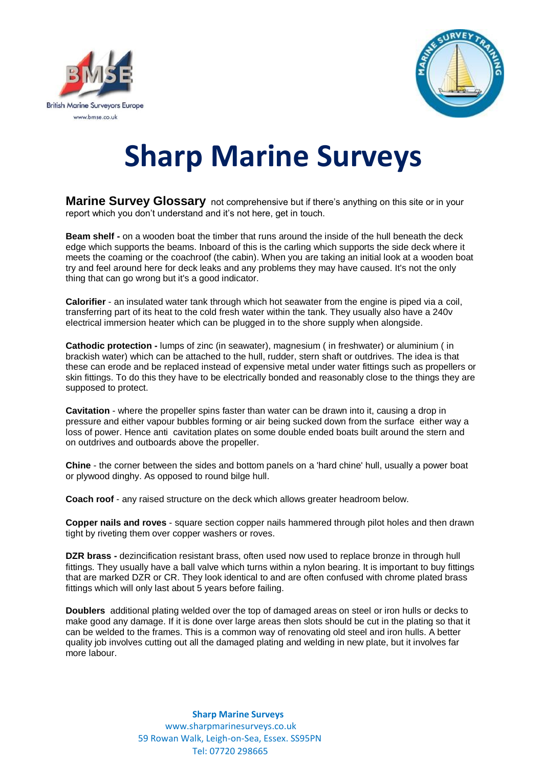



## **Sharp Marine Surveys**

**Marine Survey Glossary** not comprehensive but if there's anything on this site or in your report which you don't understand and it's not here, get in touch.

**Beam shelf -** on a wooden boat the timber that runs around the inside of the hull beneath the deck edge which supports the beams. Inboard of this is the carling which supports the side deck where it meets the coaming or the coachroof (the cabin). When you are taking an initial look at a wooden boat try and feel around here for deck leaks and any problems they may have caused. It's not the only thing that can go wrong but it's a good indicator.

**Calorifier** - an insulated water tank through which hot seawater from the engine is piped via a coil, transferring part of its heat to the cold fresh water within the tank. They usually also have a 240v electrical immersion heater which can be plugged in to the shore supply when alongside.

**Cathodic protection -** lumps of zinc (in seawater), magnesium ( in freshwater) or aluminium ( in brackish water) which can be attached to the hull, rudder, stern shaft or outdrives. The idea is that these can erode and be replaced instead of expensive metal under water fittings such as propellers or skin fittings. To do this they have to be electrically bonded and reasonably close to the things they are supposed to protect.

**Cavitation** - where the propeller spins faster than water can be drawn into it, causing a drop in pressure and either vapour bubbles forming or air being sucked down from the surface either way a loss of power. Hence anti cavitation plates on some double ended boats built around the stern and on outdrives and outboards above the propeller.

**Chine** - the corner between the sides and bottom panels on a 'hard chine' hull, usually a power boat or plywood dinghy. As opposed to round bilge hull.

**Coach roof** - any raised structure on the deck which allows greater headroom below.

**Copper nails and roves** - square section copper nails hammered through pilot holes and then drawn tight by riveting them over copper washers or roves.

**DZR brass -** dezincification resistant brass, often used now used to replace bronze in through hull fittings. They usually have a ball valve which turns within a nylon bearing. It is important to buy fittings that are marked DZR or CR. They look identical to and are often confused with chrome plated brass fittings which will only last about 5 years before failing.

**Doublers** additional plating welded over the top of damaged areas on steel or iron hulls or decks to make good any damage. If it is done over large areas then slots should be cut in the plating so that it can be welded to the frames. This is a common way of renovating old steel and iron hulls. A better quality job involves cutting out all the damaged plating and welding in new plate, but it involves far more labour.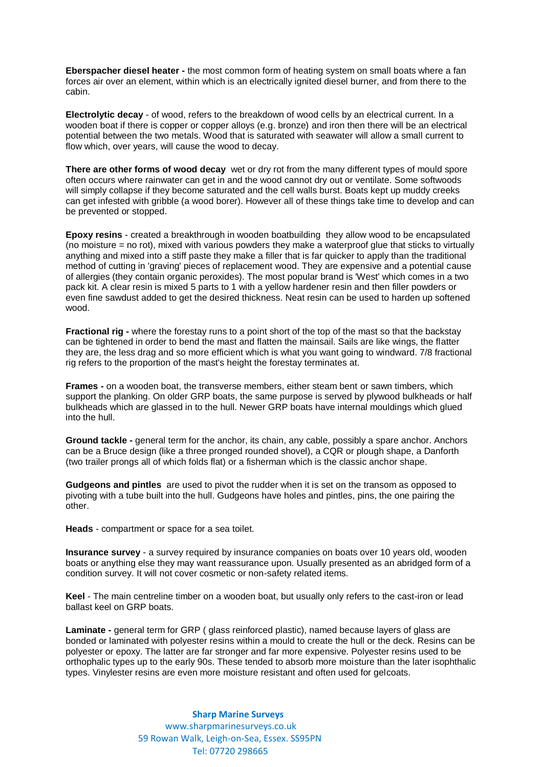**Eberspacher diesel heater -** the most common form of heating system on small boats where a fan forces air over an element, within which is an electrically ignited diesel burner, and from there to the cabin.

**Electrolytic decay** - of wood, refers to the breakdown of wood cells by an electrical current. In a wooden boat if there is copper or copper alloys (e.g. bronze) and iron then there will be an electrical potential between the two metals. Wood that is saturated with seawater will allow a small current to flow which, over years, will cause the wood to decay.

**There are other forms of wood decay** wet or dry rot from the many different types of mould spore often occurs where rainwater can get in and the wood cannot dry out or ventilate. Some softwoods will simply collapse if they become saturated and the cell walls burst. Boats kept up muddy creeks can get infested with gribble (a wood borer). However all of these things take time to develop and can be prevented or stopped.

**Epoxy resins** - created a breakthrough in wooden boatbuilding they allow wood to be encapsulated (no moisture = no rot), mixed with various powders they make a waterproof glue that sticks to virtually anything and mixed into a stiff paste they make a filler that is far quicker to apply than the traditional method of cutting in 'graving' pieces of replacement wood. They are expensive and a potential cause of allergies (they contain organic peroxides). The most popular brand is 'West' which comes in a two pack kit. A clear resin is mixed 5 parts to 1 with a yellow hardener resin and then filler powders or even fine sawdust added to get the desired thickness. Neat resin can be used to harden up softened wood.

**Fractional rig -** where the forestay runs to a point short of the top of the mast so that the backstay can be tightened in order to bend the mast and flatten the mainsail. Sails are like wings, the flatter they are, the less drag and so more efficient which is what you want going to windward. 7/8 fractional rig refers to the proportion of the mast's height the forestay terminates at.

**Frames -** on a wooden boat, the transverse members, either steam bent or sawn timbers, which support the planking. On older GRP boats, the same purpose is served by plywood bulkheads or half bulkheads which are glassed in to the hull. Newer GRP boats have internal mouldings which glued into the hull.

**Ground tackle -** general term for the anchor, its chain, any cable, possibly a spare anchor. Anchors can be a Bruce design (like a three pronged rounded shovel), a CQR or plough shape, a Danforth (two trailer prongs all of which folds flat) or a fisherman which is the classic anchor shape.

**Gudgeons and pintles** are used to pivot the rudder when it is set on the transom as opposed to pivoting with a tube built into the hull. Gudgeons have holes and pintles, pins, the one pairing the other.

**Heads** - compartment or space for a sea toilet.

**Insurance survey** - a survey required by insurance companies on boats over 10 years old, wooden boats or anything else they may want reassurance upon. Usually presented as an abridged form of a condition survey. It will not cover cosmetic or non-safety related items.

**Keel** - The main centreline timber on a wooden boat, but usually only refers to the cast-iron or lead ballast keel on GRP boats.

**Laminate -** general term for GRP ( glass reinforced plastic), named because layers of glass are bonded or laminated with polyester resins within a mould to create the hull or the deck. Resins can be polyester or epoxy. The latter are far stronger and far more expensive. Polyester resins used to be orthophalic types up to the early 90s. These tended to absorb more moisture than the later isophthalic types. Vinylester resins are even more moisture resistant and often used for gelcoats.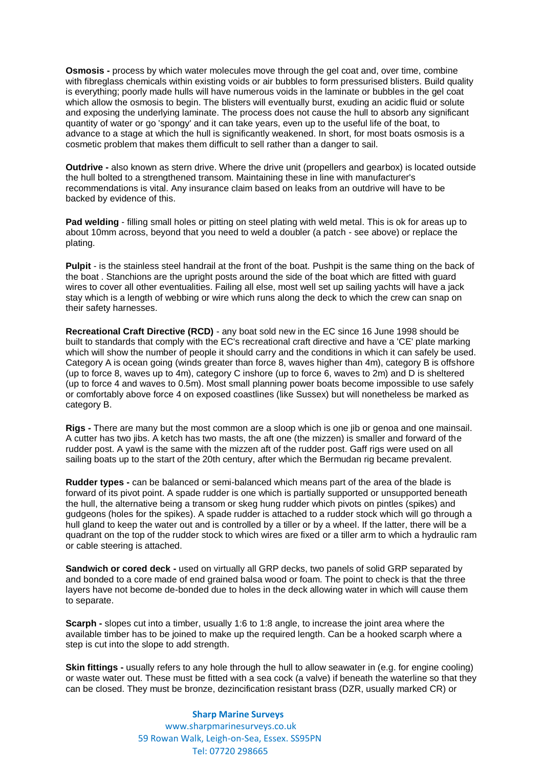**Osmosis -** process by which water molecules move through the gel coat and, over time, combine with fibreglass chemicals within existing voids or air bubbles to form pressurised blisters. Build quality is everything; poorly made hulls will have numerous voids in the laminate or bubbles in the gel coat which allow the osmosis to begin. The blisters will eventually burst, exuding an acidic fluid or solute and exposing the underlying laminate. The process does not cause the hull to absorb any significant quantity of water or go 'spongy' and it can take years, even up to the useful life of the boat, to advance to a stage at which the hull is significantly weakened. In short, for most boats osmosis is a cosmetic problem that makes them difficult to sell rather than a danger to sail.

**Outdrive -** also known as stern drive. Where the drive unit (propellers and gearbox) is located outside the hull bolted to a strengthened transom. Maintaining these in line with manufacturer's recommendations is vital. Any insurance claim based on leaks from an outdrive will have to be backed by evidence of this.

**Pad welding** - filling small holes or pitting on steel plating with weld metal. This is ok for areas up to about 10mm across, beyond that you need to weld a doubler (a patch - see above) or replace the plating.

**Pulpit** - is the stainless steel handrail at the front of the boat. Pushpit is the same thing on the back of the boat . Stanchions are the upright posts around the side of the boat which are fitted with guard wires to cover all other eventualities. Failing all else, most well set up sailing yachts will have a jack stay which is a length of webbing or wire which runs along the deck to which the crew can snap on their safety harnesses.

**Recreational Craft Directive (RCD)** - any boat sold new in the EC since 16 June 1998 should be built to standards that comply with the EC's recreational craft directive and have a 'CE' plate marking which will show the number of people it should carry and the conditions in which it can safely be used. Category A is ocean going (winds greater than force 8, waves higher than 4m), category B is offshore (up to force 8, waves up to 4m), category C inshore (up to force 6, waves to 2m) and D is sheltered (up to force 4 and waves to 0.5m). Most small planning power boats become impossible to use safely or comfortably above force 4 on exposed coastlines (like Sussex) but will nonetheless be marked as category B.

**Rigs -** There are many but the most common are a sloop which is one jib or genoa and one mainsail. A cutter has two jibs. A ketch has two masts, the aft one (the mizzen) is smaller and forward of the rudder post. A yawl is the same with the mizzen aft of the rudder post. Gaff rigs were used on all sailing boats up to the start of the 20th century, after which the Bermudan rig became prevalent.

**Rudder types -** can be balanced or semi-balanced which means part of the area of the blade is forward of its pivot point. A spade rudder is one which is partially supported or unsupported beneath the hull, the alternative being a transom or skeg hung rudder which pivots on pintles (spikes) and gudgeons (holes for the spikes). A spade rudder is attached to a rudder stock which will go through a hull gland to keep the water out and is controlled by a tiller or by a wheel. If the latter, there will be a quadrant on the top of the rudder stock to which wires are fixed or a tiller arm to which a hydraulic ram or cable steering is attached.

**Sandwich or cored deck -** used on virtually all GRP decks, two panels of solid GRP separated by and bonded to a core made of end grained balsa wood or foam. The point to check is that the three layers have not become de-bonded due to holes in the deck allowing water in which will cause them to separate.

**Scarph -** slopes cut into a timber, usually 1:6 to 1:8 angle, to increase the joint area where the available timber has to be joined to make up the required length. Can be a hooked scarph where a step is cut into the slope to add strength.

**Skin fittings -** usually refers to any hole through the hull to allow seawater in (e.g. for engine cooling) or waste water out. These must be fitted with a sea cock (a valve) if beneath the waterline so that they can be closed. They must be bronze, dezincification resistant brass (DZR, usually marked CR) or